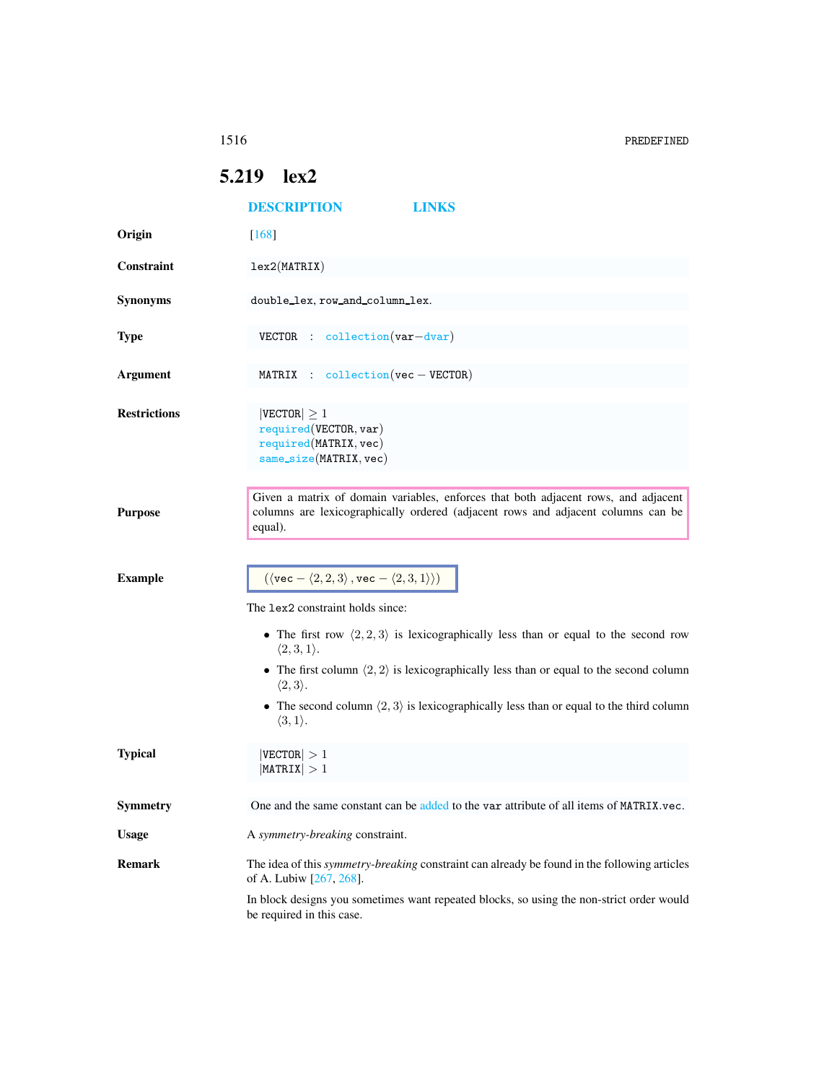1516 PREDEFINED

## <span id="page-0-0"></span>5.219 lex2

|                     | <b>DESCRIPTION</b>                                                                                      | LINKS                                                                                                                                                                  |  |
|---------------------|---------------------------------------------------------------------------------------------------------|------------------------------------------------------------------------------------------------------------------------------------------------------------------------|--|
| Origin              | $[168]$                                                                                                 |                                                                                                                                                                        |  |
| Constraint          | lex2(MATRIX)                                                                                            |                                                                                                                                                                        |  |
| <b>Synonyms</b>     | double_lex, row_and_column_lex.                                                                         |                                                                                                                                                                        |  |
| <b>Type</b>         | VECTOR : collection (var-dvar)                                                                          |                                                                                                                                                                        |  |
| <b>Argument</b>     | MATRIX : $\text{collection}(vec - \text{VECTOR})$                                                       |                                                                                                                                                                        |  |
| <b>Restrictions</b> | $ {\tt VECTOR}  \geq 1$<br>required(VECTOR, var)<br>required (MATRIX, vec)<br>$same\_size(MATRIX, vec)$ |                                                                                                                                                                        |  |
| <b>Purpose</b>      | equal).                                                                                                 | Given a matrix of domain variables, enforces that both adjacent rows, and adjacent<br>columns are lexicographically ordered (adjacent rows and adjacent columns can be |  |
| <b>Example</b>      | $(\langle \text{vec} - \langle 2, 2, 3 \rangle, \text{vec} - \langle 2, 3, 1 \rangle))$                 |                                                                                                                                                                        |  |
|                     | The lex2 constraint holds since:                                                                        |                                                                                                                                                                        |  |
|                     | $\langle 2,3,1 \rangle$ .                                                                               | • The first row $\langle 2, 2, 3 \rangle$ is lexicographically less than or equal to the second row                                                                    |  |
|                     | $\langle 2,3 \rangle.$                                                                                  | • The first column $\langle 2, 2 \rangle$ is lexicographically less than or equal to the second column                                                                 |  |
|                     | $\langle 3, 1 \rangle$ .                                                                                | • The second column $\langle 2, 3 \rangle$ is lexicographically less than or equal to the third column                                                                 |  |
| <b>Typical</b>      | $ {\tt VECTOR}  > 1$<br>$ \texttt{MATRIX}  > 1$                                                         |                                                                                                                                                                        |  |
| <b>Symmetry</b>     |                                                                                                         | One and the same constant can be added to the var attribute of all items of MATRIX.vec.                                                                                |  |
| <b>Usage</b>        | A symmetry-breaking constraint.                                                                         |                                                                                                                                                                        |  |
| <b>Remark</b>       | of A. Lubiw [267, 268].                                                                                 | The idea of this <i>symmetry-breaking</i> constraint can already be found in the following articles                                                                    |  |
|                     | be required in this case.                                                                               | In block designs you sometimes want repeated blocks, so using the non-strict order would                                                                               |  |